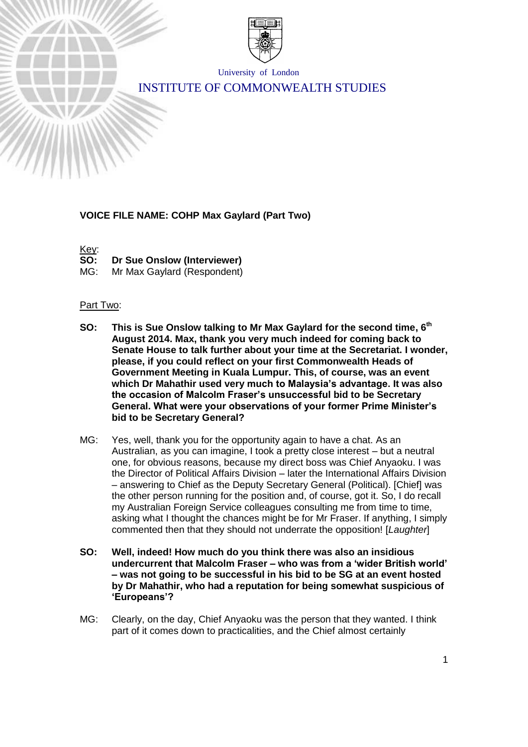

University of London

# INSTITUTE OF COMMONWEALTH STUDIES

# **VOICE FILE NAME: COHP Max Gaylard (Part Two)**

Key:<br>SO:

**Dr Sue Onslow (Interviewer)** 

MG: Mr Max Gaylard (Respondent)

### Part Two:

- **SO: This is Sue Onslow talking to Mr Max Gaylard for the second time, 6 th August 2014. Max, thank you very much indeed for coming back to Senate House to talk further about your time at the Secretariat. I wonder, please, if you could reflect on your first Commonwealth Heads of Government Meeting in Kuala Lumpur. This, of course, was an event which Dr Mahathir used very much to Malaysia's advantage. It was also the occasion of Malcolm Fraser's unsuccessful bid to be Secretary General. What were your observations of your former Prime Minister's bid to be Secretary General?**
- MG: Yes, well, thank you for the opportunity again to have a chat. As an Australian, as you can imagine, I took a pretty close interest – but a neutral one, for obvious reasons, because my direct boss was Chief Anyaoku. I was the Director of Political Affairs Division – later the International Affairs Division – answering to Chief as the Deputy Secretary General (Political). [Chief] was the other person running for the position and, of course, got it. So, I do recall my Australian Foreign Service colleagues consulting me from time to time, asking what I thought the chances might be for Mr Fraser. If anything, I simply commented then that they should not underrate the opposition! [*Laughter*]
- **SO: Well, indeed! How much do you think there was also an insidious undercurrent that Malcolm Fraser – who was from a 'wider British world' – was not going to be successful in his bid to be SG at an event hosted by Dr Mahathir, who had a reputation for being somewhat suspicious of 'Europeans'?**
- MG: Clearly, on the day, Chief Anyaoku was the person that they wanted. I think part of it comes down to practicalities, and the Chief almost certainly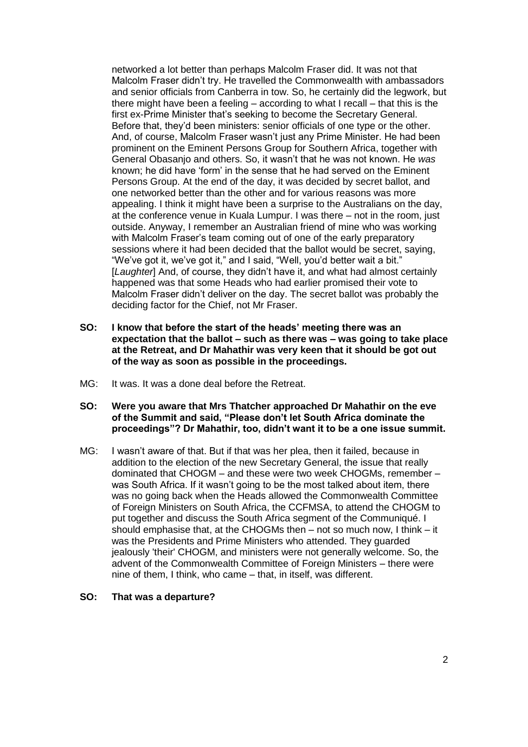networked a lot better than perhaps Malcolm Fraser did. It was not that Malcolm Fraser didn't try. He travelled the Commonwealth with ambassadors and senior officials from Canberra in tow. So, he certainly did the legwork, but there might have been a feeling – according to what I recall – that this is the first ex-Prime Minister that's seeking to become the Secretary General. Before that, they'd been ministers: senior officials of one type or the other. And, of course, Malcolm Fraser wasn't just any Prime Minister. He had been prominent on the Eminent Persons Group for Southern Africa, together with General Obasanjo and others. So, it wasn't that he was not known. He *was* known; he did have 'form' in the sense that he had served on the Eminent Persons Group. At the end of the day, it was decided by secret ballot, and one networked better than the other and for various reasons was more appealing. I think it might have been a surprise to the Australians on the day, at the conference venue in Kuala Lumpur. I was there – not in the room, just outside. Anyway, I remember an Australian friend of mine who was working with Malcolm Fraser's team coming out of one of the early preparatory sessions where it had been decided that the ballot would be secret, saying, "We've got it, we've got it," and I said, "Well, you'd better wait a bit." [*Laughter*] And, of course, they didn't have it, and what had almost certainly happened was that some Heads who had earlier promised their vote to Malcolm Fraser didn't deliver on the day. The secret ballot was probably the deciding factor for the Chief, not Mr Fraser.

- **SO: I know that before the start of the heads' meeting there was an expectation that the ballot – such as there was – was going to take place at the Retreat, and Dr Mahathir was very keen that it should be got out of the way as soon as possible in the proceedings.**
- MG: It was. It was a done deal before the Retreat.
- **SO: Were you aware that Mrs Thatcher approached Dr Mahathir on the eve of the Summit and said, "Please don't let South Africa dominate the proceedings"? Dr Mahathir, too, didn't want it to be a one issue summit.**
- MG: I wasn't aware of that. But if that was her plea, then it failed, because in addition to the election of the new Secretary General, the issue that really dominated that CHOGM – and these were two week CHOGMs, remember – was South Africa. If it wasn't going to be the most talked about item, there was no going back when the Heads allowed the Commonwealth Committee of Foreign Ministers on South Africa, the CCFMSA, to attend the CHOGM to put together and discuss the South Africa segment of the Communiqué. I should emphasise that, at the CHOGMs then – not so much now, I think – it was the Presidents and Prime Ministers who attended. They guarded jealously 'their' CHOGM, and ministers were not generally welcome. So, the advent of the Commonwealth Committee of Foreign Ministers – there were nine of them, I think, who came – that, in itself, was different.

#### **SO: That was a departure?**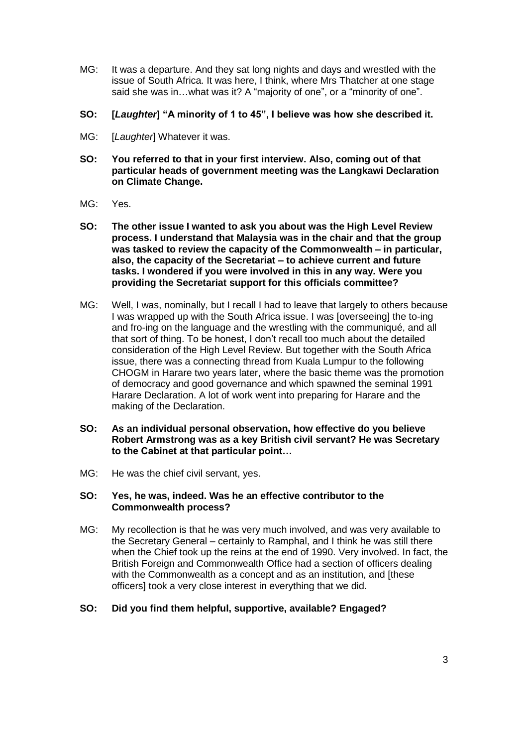- MG: It was a departure. And they sat long nights and days and wrestled with the issue of South Africa. It was here, I think, where Mrs Thatcher at one stage said she was in…what was it? A "majority of one", or a "minority of one".
- **SO: [***Laughter***] "A minority of 1 to 45", I believe was how she described it.**
- MG: [*Laughter*] Whatever it was.
- **SO: You referred to that in your first interview. Also, coming out of that particular heads of government meeting was the Langkawi Declaration on Climate Change.**
- MG: Yes.
- **SO: The other issue I wanted to ask you about was the High Level Review process. I understand that Malaysia was in the chair and that the group was tasked to review the capacity of the Commonwealth – in particular, also, the capacity of the Secretariat – to achieve current and future tasks. I wondered if you were involved in this in any way. Were you providing the Secretariat support for this officials committee?**
- MG: Well, I was, nominally, but I recall I had to leave that largely to others because I was wrapped up with the South Africa issue. I was [overseeing] the to-ing and fro-ing on the language and the wrestling with the communiqué, and all that sort of thing. To be honest, I don't recall too much about the detailed consideration of the High Level Review. But together with the South Africa issue, there was a connecting thread from Kuala Lumpur to the following CHOGM in Harare two years later, where the basic theme was the promotion of democracy and good governance and which spawned the seminal 1991 Harare Declaration. A lot of work went into preparing for Harare and the making of the Declaration.
- **SO: As an individual personal observation, how effective do you believe Robert Armstrong was as a key British civil servant? He was Secretary to the Cabinet at that particular point…**
- MG: He was the chief civil servant, yes.

### **SO: Yes, he was, indeed. Was he an effective contributor to the Commonwealth process?**

MG: My recollection is that he was very much involved, and was very available to the Secretary General – certainly to Ramphal, and I think he was still there when the Chief took up the reins at the end of 1990. Very involved. In fact, the British Foreign and Commonwealth Office had a section of officers dealing with the Commonwealth as a concept and as an institution, and [these officers] took a very close interest in everything that we did.

# **SO: Did you find them helpful, supportive, available? Engaged?**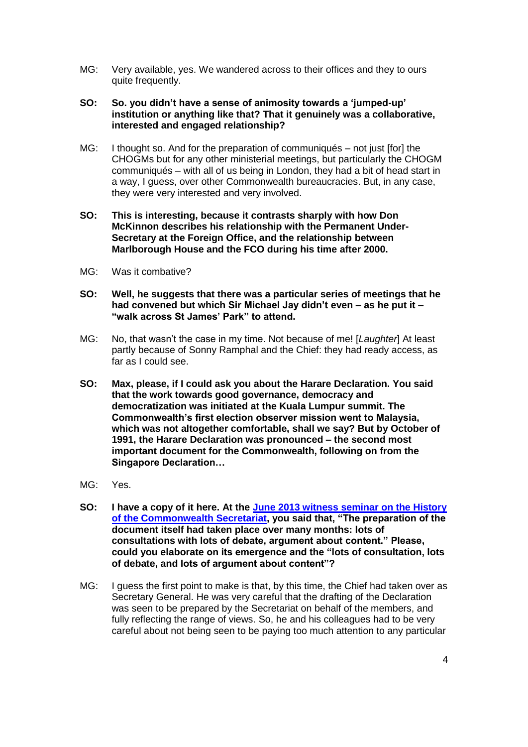- MG: Very available, yes. We wandered across to their offices and they to ours quite frequently.
- **SO: So. you didn't have a sense of animosity towards a 'jumped-up' institution or anything like that? That it genuinely was a collaborative, interested and engaged relationship?**
- MG: I thought so. And for the preparation of communiqués not just [for] the CHOGMs but for any other ministerial meetings, but particularly the CHOGM communiqués – with all of us being in London, they had a bit of head start in a way, I guess, over other Commonwealth bureaucracies. But, in any case, they were very interested and very involved.
- **SO: This is interesting, because it contrasts sharply with how Don McKinnon describes his relationship with the Permanent Under-Secretary at the Foreign Office, and the relationship between Marlborough House and the FCO during his time after 2000.**
- MG: Was it combative?
- **SO: Well, he suggests that there was a particular series of meetings that he had convened but which Sir Michael Jay didn't even – as he put it – "walk across St James' Park" to attend.**
- MG: No, that wasn't the case in my time. Not because of me! [*Laughter*] At least partly because of Sonny Ramphal and the Chief: they had ready access, as far as I could see.
- **SO: Max, please, if I could ask you about the Harare Declaration. You said that the work towards good governance, democracy and democratization was initiated at the Kuala Lumpur summit. The Commonwealth's first election observer mission went to Malaysia, which was not altogether comfortable, shall we say? But by October of 1991, the Harare Declaration was pronounced – the second most important document for the Commonwealth, following on from the Singapore Declaration…**
- MG: Yes.
- **SO: I have a copy of it here. At the [June 2013 witness seminar on the History](http://www.commonwealthoralhistories.org/witness-seminar-the-heartbeat/)  [of the Commonwealth Secretariat,](http://www.commonwealthoralhistories.org/witness-seminar-the-heartbeat/) you said that, "The preparation of the document itself had taken place over many months: lots of consultations with lots of debate, argument about content." Please, could you elaborate on its emergence and the "lots of consultation, lots of debate, and lots of argument about content"?**
- MG: I guess the first point to make is that, by this time, the Chief had taken over as Secretary General. He was very careful that the drafting of the Declaration was seen to be prepared by the Secretariat on behalf of the members, and fully reflecting the range of views. So, he and his colleagues had to be very careful about not being seen to be paying too much attention to any particular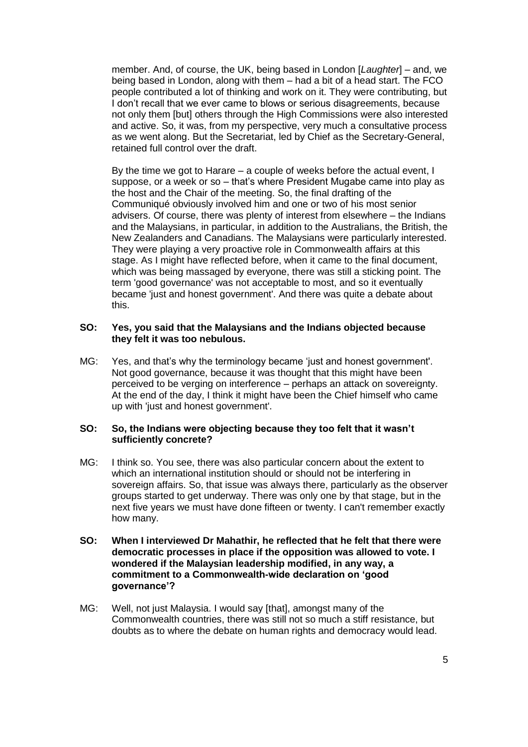member. And, of course, the UK, being based in London [*Laughter*] – and, we being based in London, along with them – had a bit of a head start. The FCO people contributed a lot of thinking and work on it. They were contributing, but I don't recall that we ever came to blows or serious disagreements, because not only them [but] others through the High Commissions were also interested and active. So, it was, from my perspective, very much a consultative process as we went along. But the Secretariat, led by Chief as the Secretary-General, retained full control over the draft.

By the time we got to Harare – a couple of weeks before the actual event, I suppose, or a week or so – that's where President Mugabe came into play as the host and the Chair of the meeting. So, the final drafting of the Communiqué obviously involved him and one or two of his most senior advisers. Of course, there was plenty of interest from elsewhere – the Indians and the Malaysians, in particular, in addition to the Australians, the British, the New Zealanders and Canadians. The Malaysians were particularly interested. They were playing a very proactive role in Commonwealth affairs at this stage. As I might have reflected before, when it came to the final document, which was being massaged by everyone, there was still a sticking point. The term 'good governance' was not acceptable to most, and so it eventually became 'just and honest government'. And there was quite a debate about this.

#### **SO: Yes, you said that the Malaysians and the Indians objected because they felt it was too nebulous.**

MG: Yes, and that's why the terminology became 'just and honest government'. Not good governance, because it was thought that this might have been perceived to be verging on interference – perhaps an attack on sovereignty. At the end of the day, I think it might have been the Chief himself who came up with 'just and honest government'.

#### **SO: So, the Indians were objecting because they too felt that it wasn't sufficiently concrete?**

- MG: I think so. You see, there was also particular concern about the extent to which an international institution should or should not be interfering in sovereign affairs. So, that issue was always there, particularly as the observer groups started to get underway. There was only one by that stage, but in the next five years we must have done fifteen or twenty. I can't remember exactly how many.
- **SO: When I interviewed Dr Mahathir, he reflected that he felt that there were democratic processes in place if the opposition was allowed to vote. I wondered if the Malaysian leadership modified, in any way, a commitment to a Commonwealth-wide declaration on 'good governance'?**
- MG: Well, not just Malaysia. I would say [that], amongst many of the Commonwealth countries, there was still not so much a stiff resistance, but doubts as to where the debate on human rights and democracy would lead.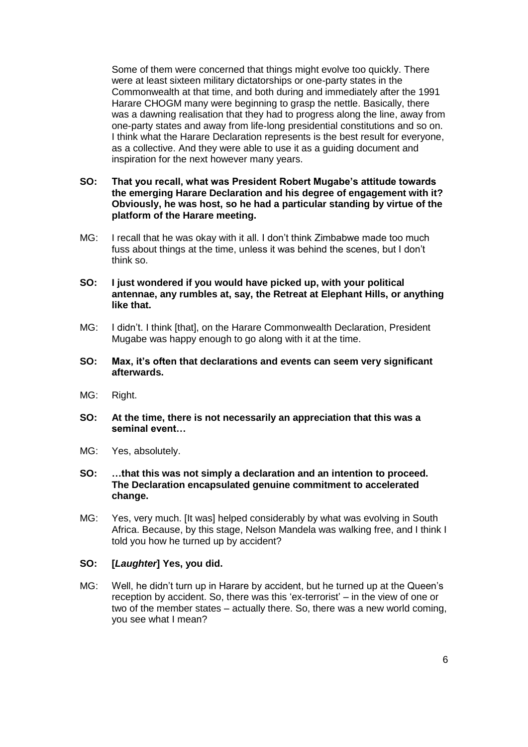Some of them were concerned that things might evolve too quickly. There were at least sixteen military dictatorships or one-party states in the Commonwealth at that time, and both during and immediately after the 1991 Harare CHOGM many were beginning to grasp the nettle. Basically, there was a dawning realisation that they had to progress along the line, away from one-party states and away from life-long presidential constitutions and so on. I think what the Harare Declaration represents is the best result for everyone, as a collective. And they were able to use it as a guiding document and inspiration for the next however many years.

- **SO: That you recall, what was President Robert Mugabe's attitude towards the emerging Harare Declaration and his degree of engagement with it? Obviously, he was host, so he had a particular standing by virtue of the platform of the Harare meeting.**
- MG: I recall that he was okay with it all. I don't think Zimbabwe made too much fuss about things at the time, unless it was behind the scenes, but I don't think so.
- **SO: I just wondered if you would have picked up, with your political antennae, any rumbles at, say, the Retreat at Elephant Hills, or anything like that.**
- MG: I didn't. I think [that], on the Harare Commonwealth Declaration, President Mugabe was happy enough to go along with it at the time.
- **SO: Max, it's often that declarations and events can seem very significant afterwards.**
- MG: Right.
- **SO: At the time, there is not necessarily an appreciation that this was a seminal event…**
- MG: Yes, absolutely.
- **SO: …that this was not simply a declaration and an intention to proceed. The Declaration encapsulated genuine commitment to accelerated change.**
- MG: Yes, very much. [It was] helped considerably by what was evolving in South Africa. Because, by this stage, Nelson Mandela was walking free, and I think I told you how he turned up by accident?

#### **SO: [***Laughter***] Yes, you did.**

MG: Well, he didn't turn up in Harare by accident, but he turned up at the Queen's reception by accident. So, there was this 'ex-terrorist' – in the view of one or two of the member states – actually there. So, there was a new world coming, you see what I mean?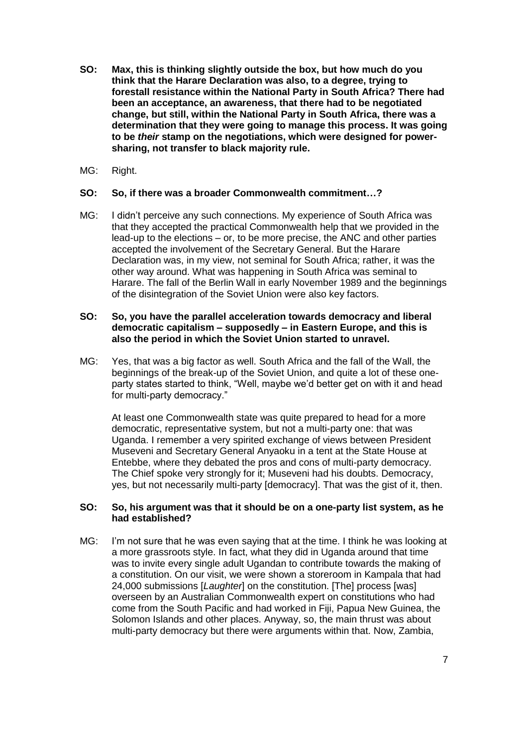- **SO: Max, this is thinking slightly outside the box, but how much do you think that the Harare Declaration was also, to a degree, trying to forestall resistance within the National Party in South Africa? There had been an acceptance, an awareness, that there had to be negotiated change, but still, within the National Party in South Africa, there was a determination that they were going to manage this process. It was going to be** *their* **stamp on the negotiations, which were designed for powersharing, not transfer to black majority rule.**
- MG: Right.

#### **SO: So, if there was a broader Commonwealth commitment…?**

MG: I didn't perceive any such connections. My experience of South Africa was that they accepted the practical Commonwealth help that we provided in the lead-up to the elections – or, to be more precise, the ANC and other parties accepted the involvement of the Secretary General. But the Harare Declaration was, in my view, not seminal for South Africa; rather, it was the other way around. What was happening in South Africa was seminal to Harare. The fall of the Berlin Wall in early November 1989 and the beginnings of the disintegration of the Soviet Union were also key factors.

### **SO: So, you have the parallel acceleration towards democracy and liberal democratic capitalism – supposedly – in Eastern Europe, and this is also the period in which the Soviet Union started to unravel.**

MG: Yes, that was a big factor as well. South Africa and the fall of the Wall, the beginnings of the break-up of the Soviet Union, and quite a lot of these oneparty states started to think, "Well, maybe we'd better get on with it and head for multi-party democracy."

At least one Commonwealth state was quite prepared to head for a more democratic, representative system, but not a multi-party one: that was Uganda. I remember a very spirited exchange of views between President Museveni and Secretary General Anyaoku in a tent at the State House at Entebbe, where they debated the pros and cons of multi-party democracy. The Chief spoke very strongly for it; Museveni had his doubts. Democracy, yes, but not necessarily multi-party [democracy]. That was the gist of it, then.

#### **SO: So, his argument was that it should be on a one-party list system, as he had established?**

MG: I'm not sure that he was even saying that at the time. I think he was looking at a more grassroots style. In fact, what they did in Uganda around that time was to invite every single adult Ugandan to contribute towards the making of a constitution. On our visit, we were shown a storeroom in Kampala that had 24,000 submissions [*Laughter*] on the constitution. [The] process [was] overseen by an Australian Commonwealth expert on constitutions who had come from the South Pacific and had worked in Fiji, Papua New Guinea, the Solomon Islands and other places. Anyway, so, the main thrust was about multi-party democracy but there were arguments within that. Now, Zambia,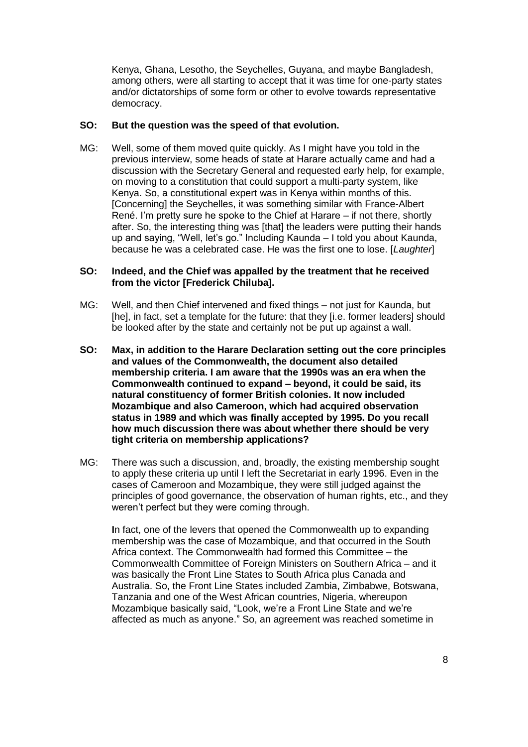Kenya, Ghana, Lesotho, the Seychelles, Guyana, and maybe Bangladesh, among others, were all starting to accept that it was time for one-party states and/or dictatorships of some form or other to evolve towards representative democracy.

### **SO: But the question was the speed of that evolution.**

MG: Well, some of them moved quite quickly. As I might have you told in the previous interview, some heads of state at Harare actually came and had a discussion with the Secretary General and requested early help, for example, on moving to a constitution that could support a multi-party system, like Kenya. So, a constitutional expert was in Kenya within months of this. [Concerning] the Seychelles, it was something similar with France-Albert René. I'm pretty sure he spoke to the Chief at Harare – if not there, shortly after. So, the interesting thing was [that] the leaders were putting their hands up and saying, "Well, let's go." Including Kaunda – I told you about Kaunda, because he was a celebrated case. He was the first one to lose. [*Laughter*]

## **SO: Indeed, and the Chief was appalled by the treatment that he received from the victor [Frederick Chiluba].**

- MG: Well, and then Chief intervened and fixed things not just for Kaunda, but [he], in fact, set a template for the future: that they [i.e. former leaders] should be looked after by the state and certainly not be put up against a wall.
- **SO: Max, in addition to the Harare Declaration setting out the core principles and values of the Commonwealth, the document also detailed membership criteria. I am aware that the 1990s was an era when the Commonwealth continued to expand – beyond, it could be said, its natural constituency of former British colonies. It now included Mozambique and also Cameroon, which had acquired observation status in 1989 and which was finally accepted by 1995. Do you recall how much discussion there was about whether there should be very tight criteria on membership applications?**
- MG: There was such a discussion, and, broadly, the existing membership sought to apply these criteria up until I left the Secretariat in early 1996. Even in the cases of Cameroon and Mozambique, they were still judged against the principles of good governance, the observation of human rights, etc., and they weren't perfect but they were coming through.

**I**n fact, one of the levers that opened the Commonwealth up to expanding membership was the case of Mozambique, and that occurred in the South Africa context. The Commonwealth had formed this Committee – the Commonwealth Committee of Foreign Ministers on Southern Africa – and it was basically the Front Line States to South Africa plus Canada and Australia. So, the Front Line States included Zambia, Zimbabwe, Botswana, Tanzania and one of the West African countries, Nigeria, whereupon Mozambique basically said, "Look, we're a Front Line State and we're affected as much as anyone." So, an agreement was reached sometime in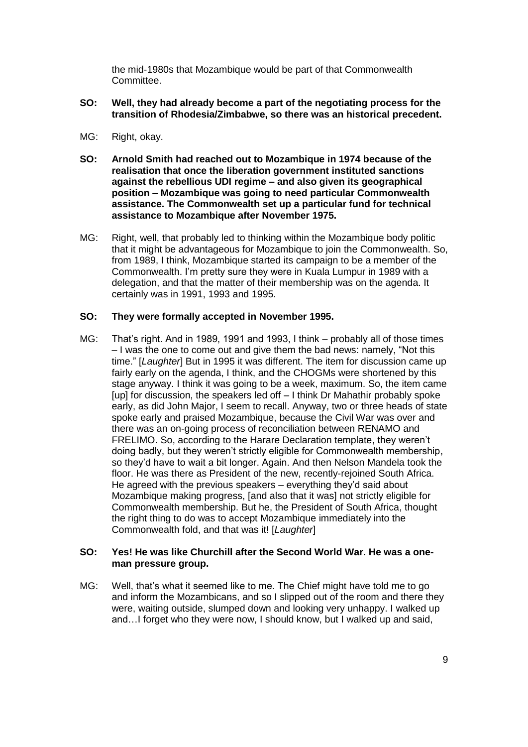the mid-1980s that Mozambique would be part of that Commonwealth **Committee.** 

- **SO: Well, they had already become a part of the negotiating process for the transition of Rhodesia/Zimbabwe, so there was an historical precedent.**
- MG: Right, okay.
- **SO: Arnold Smith had reached out to Mozambique in 1974 because of the realisation that once the liberation government instituted sanctions against the rebellious UDI regime – and also given its geographical position – Mozambique was going to need particular Commonwealth assistance. The Commonwealth set up a particular fund for technical assistance to Mozambique after November 1975.**
- MG: Right, well, that probably led to thinking within the Mozambique body politic that it might be advantageous for Mozambique to join the Commonwealth. So, from 1989, I think, Mozambique started its campaign to be a member of the Commonwealth. I'm pretty sure they were in Kuala Lumpur in 1989 with a delegation, and that the matter of their membership was on the agenda. It certainly was in 1991, 1993 and 1995.

#### **SO: They were formally accepted in November 1995.**

MG: That's right. And in 1989, 1991 and 1993, I think – probably all of those times – I was the one to come out and give them the bad news: namely, "Not this time." [*Laughter*] But in 1995 it was different. The item for discussion came up fairly early on the agenda, I think, and the CHOGMs were shortened by this stage anyway. I think it was going to be a week, maximum. So, the item came [up] for discussion, the speakers led off – I think Dr Mahathir probably spoke early, as did John Major, I seem to recall. Anyway, two or three heads of state spoke early and praised Mozambique, because the Civil War was over and there was an on-going process of reconciliation between RENAMO and FRELIMO. So, according to the Harare Declaration template, they weren't doing badly, but they weren't strictly eligible for Commonwealth membership, so they'd have to wait a bit longer. Again. And then Nelson Mandela took the floor. He was there as President of the new, recently-rejoined South Africa. He agreed with the previous speakers – everything they'd said about Mozambique making progress, [and also that it was] not strictly eligible for Commonwealth membership. But he, the President of South Africa, thought the right thing to do was to accept Mozambique immediately into the Commonwealth fold, and that was it! [*Laughter*]

#### **SO: Yes! He was like Churchill after the Second World War. He was a oneman pressure group.**

MG: Well, that's what it seemed like to me. The Chief might have told me to go and inform the Mozambicans, and so I slipped out of the room and there they were, waiting outside, slumped down and looking very unhappy. I walked up and…I forget who they were now, I should know, but I walked up and said,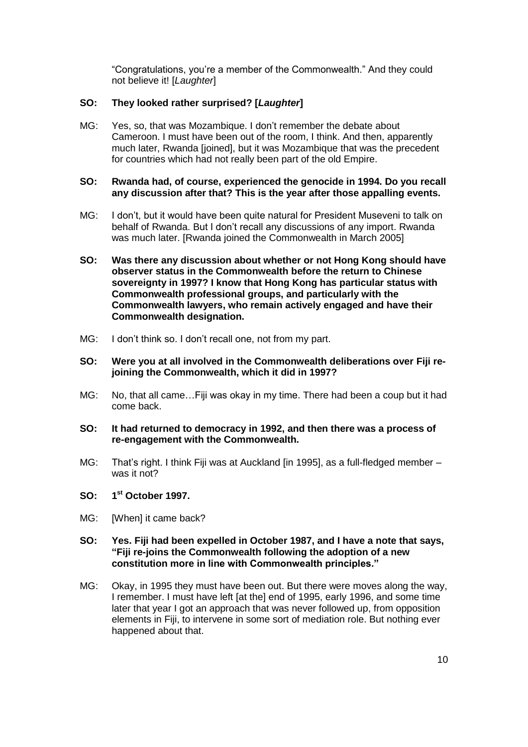"Congratulations, you're a member of the Commonwealth." And they could not believe it! [*Laughter*]

# **SO: They looked rather surprised? [***Laughter***]**

MG: Yes, so, that was Mozambique. I don't remember the debate about Cameroon. I must have been out of the room, I think. And then, apparently much later, Rwanda [joined], but it was Mozambique that was the precedent for countries which had not really been part of the old Empire.

### **SO: Rwanda had, of course, experienced the genocide in 1994. Do you recall any discussion after that? This is the year after those appalling events.**

- MG: I don't, but it would have been quite natural for President Museveni to talk on behalf of Rwanda. But I don't recall any discussions of any import. Rwanda was much later. [Rwanda joined the Commonwealth in March 2005]
- **SO: Was there any discussion about whether or not Hong Kong should have observer status in the Commonwealth before the return to Chinese sovereignty in 1997? I know that Hong Kong has particular status with Commonwealth professional groups, and particularly with the Commonwealth lawyers, who remain actively engaged and have their Commonwealth designation.**
- MG: I don't think so. I don't recall one, not from my part.
- **SO: Were you at all involved in the Commonwealth deliberations over Fiji rejoining the Commonwealth, which it did in 1997?**
- MG: No, that all came…Fiji was okay in my time. There had been a coup but it had come back.
- **SO: It had returned to democracy in 1992, and then there was a process of re-engagement with the Commonwealth.**
- MG: That's right. I think Fiji was at Auckland [in 1995], as a full-fledged member was it not?
- **SO: 1 st October 1997.**
- MG: [When] it came back?
- **SO: Yes. Fiji had been expelled in October 1987, and I have a note that says, "Fiji re-joins the Commonwealth following the adoption of a new constitution more in line with Commonwealth principles."**
- MG: Okay, in 1995 they must have been out. But there were moves along the way, I remember. I must have left [at the] end of 1995, early 1996, and some time later that year I got an approach that was never followed up, from opposition elements in Fiji, to intervene in some sort of mediation role. But nothing ever happened about that.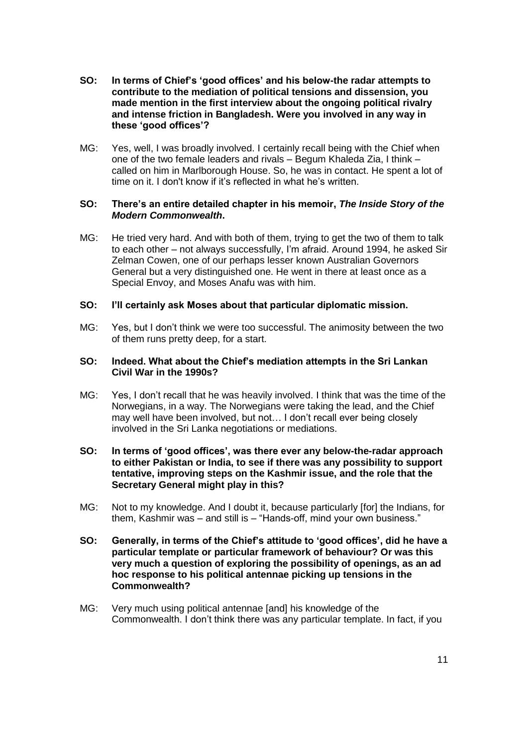- **SO: In terms of Chief's 'good offices' and his below-the radar attempts to contribute to the mediation of political tensions and dissension, you made mention in the first interview about the ongoing political rivalry and intense friction in Bangladesh. Were you involved in any way in these 'good offices'?**
- MG: Yes, well, I was broadly involved. I certainly recall being with the Chief when one of the two female leaders and rivals – Begum Khaleda Zia, I think – called on him in Marlborough House. So, he was in contact. He spent a lot of time on it. I don't know if it's reflected in what he's written.

### **SO: There's an entire detailed chapter in his memoir,** *The Inside Story of the Modern Commonwealth***.**

MG: He tried very hard. And with both of them, trying to get the two of them to talk to each other – not always successfully, I'm afraid. Around 1994, he asked Sir Zelman Cowen, one of our perhaps lesser known Australian Governors General but a very distinguished one. He went in there at least once as a Special Envoy, and Moses Anafu was with him.

### **SO: I'll certainly ask Moses about that particular diplomatic mission.**

MG: Yes, but I don't think we were too successful. The animosity between the two of them runs pretty deep, for a start.

## **SO: Indeed. What about the Chief's mediation attempts in the Sri Lankan Civil War in the 1990s?**

MG: Yes, I don't recall that he was heavily involved. I think that was the time of the Norwegians, in a way. The Norwegians were taking the lead, and the Chief may well have been involved, but not… I don't recall ever being closely involved in the Sri Lanka negotiations or mediations.

### **SO: In terms of 'good offices', was there ever any below-the-radar approach to either Pakistan or India, to see if there was any possibility to support tentative, improving steps on the Kashmir issue, and the role that the Secretary General might play in this?**

- MG: Not to my knowledge. And I doubt it, because particularly [for] the Indians, for them, Kashmir was – and still is – "Hands-off, mind your own business."
- **SO: Generally, in terms of the Chief's attitude to 'good offices', did he have a particular template or particular framework of behaviour? Or was this very much a question of exploring the possibility of openings, as an ad hoc response to his political antennae picking up tensions in the Commonwealth?**
- MG: Very much using political antennae [and] his knowledge of the Commonwealth. I don't think there was any particular template. In fact, if you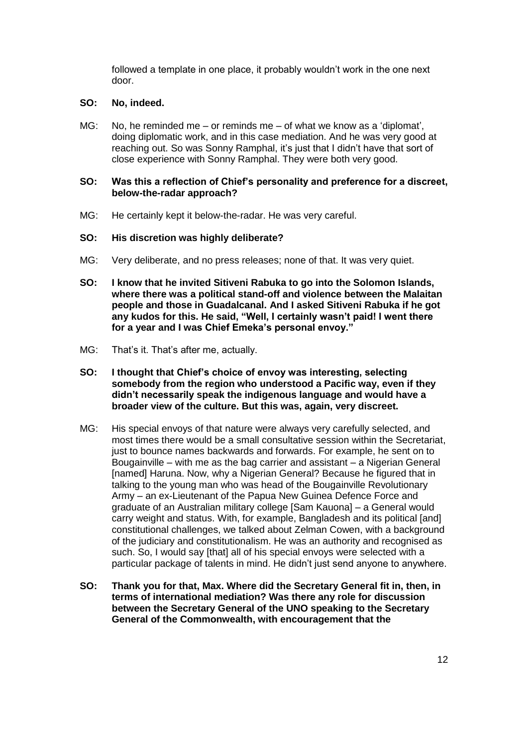followed a template in one place, it probably wouldn't work in the one next door.

### **SO: No, indeed.**

MG: No, he reminded me – or reminds me – of what we know as a 'diplomat', doing diplomatic work, and in this case mediation. And he was very good at reaching out. So was Sonny Ramphal, it's just that I didn't have that sort of close experience with Sonny Ramphal. They were both very good.

### **SO: Was this a reflection of Chief's personality and preference for a discreet, below-the-radar approach?**

MG: He certainly kept it below-the-radar. He was very careful.

### **SO: His discretion was highly deliberate?**

- MG: Very deliberate, and no press releases; none of that. It was very quiet.
- **SO: I know that he invited Sitiveni Rabuka to go into the Solomon Islands, where there was a political stand-off and violence between the Malaitan people and those in Guadalcanal. And I asked Sitiveni Rabuka if he got any kudos for this. He said, "Well, I certainly wasn't paid! I went there for a year and I was Chief Emeka's personal envoy."**
- MG: That's it. That's after me, actually.
- **SO: I thought that Chief's choice of envoy was interesting, selecting somebody from the region who understood a Pacific way, even if they didn't necessarily speak the indigenous language and would have a broader view of the culture. But this was, again, very discreet.**
- MG: His special envoys of that nature were always very carefully selected, and most times there would be a small consultative session within the Secretariat, just to bounce names backwards and forwards. For example, he sent on to Bougainville – with me as the bag carrier and assistant – a Nigerian General [named] Haruna. Now, why a Nigerian General? Because he figured that in talking to the young man who was head of the Bougainville Revolutionary Army – an ex-Lieutenant of the Papua New Guinea Defence Force and graduate of an Australian military college [Sam Kauona] – a General would carry weight and status. With, for example, Bangladesh and its political [and] constitutional challenges, we talked about Zelman Cowen, with a background of the judiciary and constitutionalism. He was an authority and recognised as such. So, I would say [that] all of his special envoys were selected with a particular package of talents in mind. He didn't just send anyone to anywhere.
- **SO: Thank you for that, Max. Where did the Secretary General fit in, then, in terms of international mediation? Was there any role for discussion between the Secretary General of the UNO speaking to the Secretary General of the Commonwealth, with encouragement that the**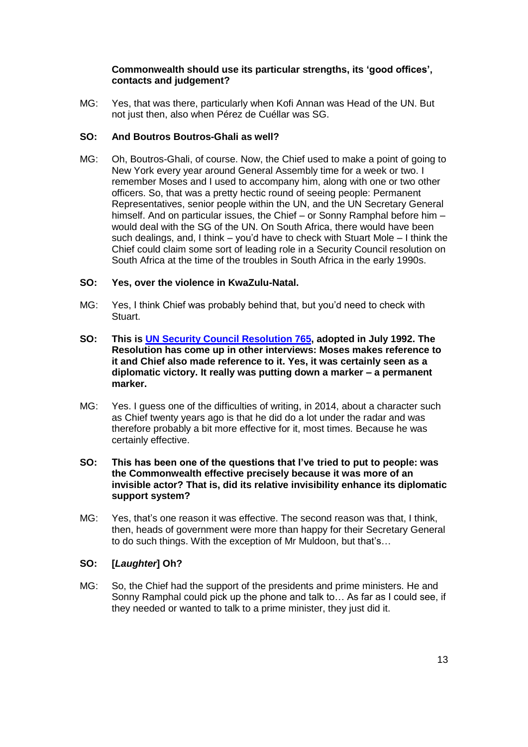## **Commonwealth should use its particular strengths, its 'good offices', contacts and judgement?**

MG: Yes, that was there, particularly when Kofi Annan was Head of the UN. But not just then, also when Pérez de Cuéllar was SG.

# **SO: And Boutros Boutros-Ghali as well?**

MG: Oh, Boutros-Ghali, of course. Now, the Chief used to make a point of going to New York every year around General Assembly time for a week or two. I remember Moses and I used to accompany him, along with one or two other officers. So, that was a pretty hectic round of seeing people: Permanent Representatives, senior people within the UN, and the UN Secretary General himself. And on particular issues, the Chief – or Sonny Ramphal before him – would deal with the SG of the UN. On South Africa, there would have been such dealings, and, I think – you'd have to check with Stuart Mole – I think the Chief could claim some sort of leading role in a Security Council resolution on South Africa at the time of the troubles in South Africa in the early 1990s.

### **SO: Yes, over the violence in KwaZulu-Natal.**

- MG: Yes, I think Chief was probably behind that, but you'd need to check with Stuart.
- **SO: This is [UN Security Council](http://www.refworld.org/cgi-bin/texis/vtx/rwmain?docid=3b00f16448) Resolution 765, adopted in July 1992. The Resolution has come up in other interviews: Moses makes reference to it and Chief also made reference to it. Yes, it was certainly seen as a diplomatic victory. It really was putting down a marker – a permanent marker.**
- MG: Yes. I guess one of the difficulties of writing, in 2014, about a character such as Chief twenty years ago is that he did do a lot under the radar and was therefore probably a bit more effective for it, most times. Because he was certainly effective.
- **SO: This has been one of the questions that I've tried to put to people: was the Commonwealth effective precisely because it was more of an invisible actor? That is, did its relative invisibility enhance its diplomatic support system?**
- MG: Yes, that's one reason it was effective. The second reason was that, I think, then, heads of government were more than happy for their Secretary General to do such things. With the exception of Mr Muldoon, but that's…

# **SO: [***Laughter***] Oh?**

MG: So, the Chief had the support of the presidents and prime ministers. He and Sonny Ramphal could pick up the phone and talk to… As far as I could see, if they needed or wanted to talk to a prime minister, they just did it.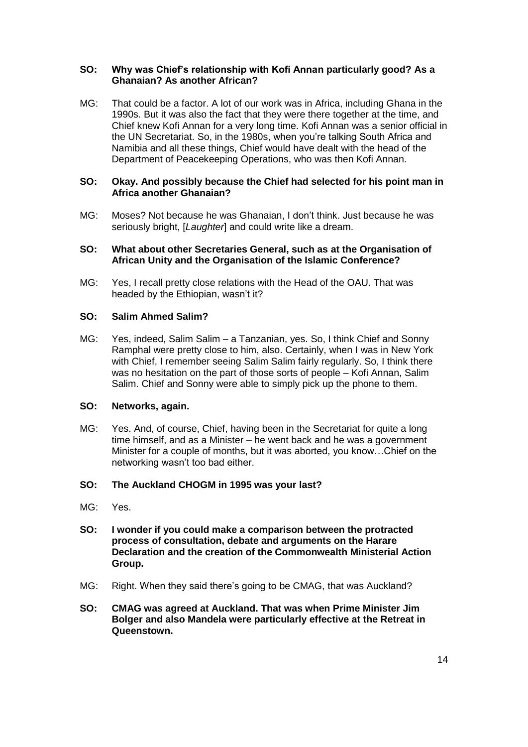## **SO: Why was Chief's relationship with Kofi Annan particularly good? As a Ghanaian? As another African?**

MG: That could be a factor. A lot of our work was in Africa, including Ghana in the 1990s. But it was also the fact that they were there together at the time, and Chief knew Kofi Annan for a very long time. Kofi Annan was a senior official in the UN Secretariat. So, in the 1980s, when you're talking South Africa and Namibia and all these things, Chief would have dealt with the head of the Department of Peacekeeping Operations, who was then Kofi Annan.

### **SO: Okay. And possibly because the Chief had selected for his point man in Africa another Ghanaian?**

MG: Moses? Not because he was Ghanaian, I don't think. Just because he was seriously bright, [*Laughter*] and could write like a dream.

### **SO: What about other Secretaries General, such as at the Organisation of African Unity and the Organisation of the Islamic Conference?**

MG: Yes, I recall pretty close relations with the Head of the OAU. That was headed by the Ethiopian, wasn't it?

# **SO: Salim Ahmed Salim?**

MG: Yes, indeed, Salim Salim – a Tanzanian, yes. So, I think Chief and Sonny Ramphal were pretty close to him, also. Certainly, when I was in New York with Chief, I remember seeing Salim Salim fairly regularly. So, I think there was no hesitation on the part of those sorts of people – Kofi Annan, Salim Salim. Chief and Sonny were able to simply pick up the phone to them.

#### **SO: Networks, again.**

MG: Yes. And, of course, Chief, having been in the Secretariat for quite a long time himself, and as a Minister – he went back and he was a government Minister for a couple of months, but it was aborted, you know…Chief on the networking wasn't too bad either.

# **SO: The Auckland CHOGM in 1995 was your last?**

- MG: Yes.
- **SO: I wonder if you could make a comparison between the protracted process of consultation, debate and arguments on the Harare Declaration and the creation of the Commonwealth Ministerial Action Group.**
- MG: Right. When they said there's going to be CMAG, that was Auckland?
- **SO: CMAG was agreed at Auckland. That was when Prime Minister Jim Bolger and also Mandela were particularly effective at the Retreat in Queenstown.**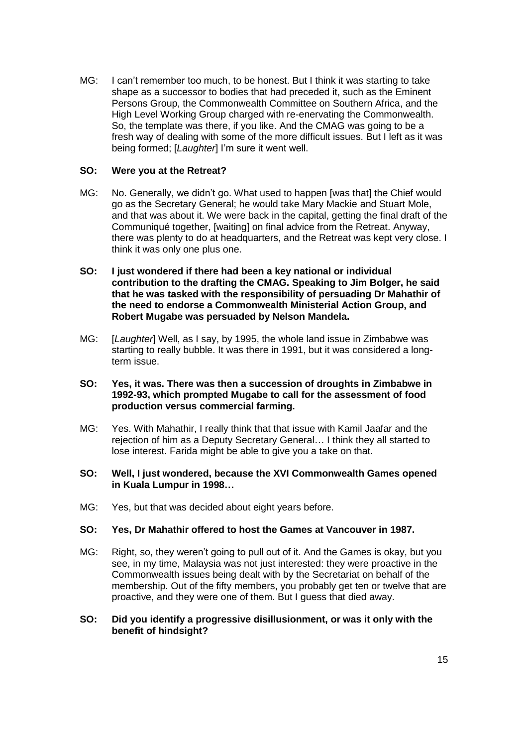MG: I can't remember too much, to be honest. But I think it was starting to take shape as a successor to bodies that had preceded it, such as the Eminent Persons Group, the Commonwealth Committee on Southern Africa, and the High Level Working Group charged with re-enervating the Commonwealth. So, the template was there, if you like. And the CMAG was going to be a fresh way of dealing with some of the more difficult issues. But I left as it was being formed; [*Laughter*] I'm sure it went well.

## **SO: Were you at the Retreat?**

- MG: No. Generally, we didn't go. What used to happen [was that] the Chief would go as the Secretary General; he would take Mary Mackie and Stuart Mole, and that was about it. We were back in the capital, getting the final draft of the Communiqué together, [waiting] on final advice from the Retreat. Anyway, there was plenty to do at headquarters, and the Retreat was kept very close. I think it was only one plus one.
- **SO: I just wondered if there had been a key national or individual contribution to the drafting the CMAG. Speaking to Jim Bolger, he said that he was tasked with the responsibility of persuading Dr Mahathir of the need to endorse a Commonwealth Ministerial Action Group, and Robert Mugabe was persuaded by Nelson Mandela.**
- MG: [*Laughter*] Well, as I say, by 1995, the whole land issue in Zimbabwe was starting to really bubble. It was there in 1991, but it was considered a longterm issue.
- **SO: Yes, it was. There was then a succession of droughts in Zimbabwe in 1992-93, which prompted Mugabe to call for the assessment of food production versus commercial farming.**
- MG: Yes. With Mahathir, I really think that that issue with Kamil Jaafar and the rejection of him as a Deputy Secretary General… I think they all started to lose interest. Farida might be able to give you a take on that.
- **SO: Well, I just wondered, because the XVI Commonwealth Games opened in Kuala Lumpur in 1998…**
- MG: Yes, but that was decided about eight years before.

### **SO: Yes, Dr Mahathir offered to host the Games at Vancouver in 1987.**

MG: Right, so, they weren't going to pull out of it. And the Games is okay, but you see, in my time, Malaysia was not just interested: they were proactive in the Commonwealth issues being dealt with by the Secretariat on behalf of the membership. Out of the fifty members, you probably get ten or twelve that are proactive, and they were one of them. But I guess that died away.

### **SO: Did you identify a progressive disillusionment, or was it only with the benefit of hindsight?**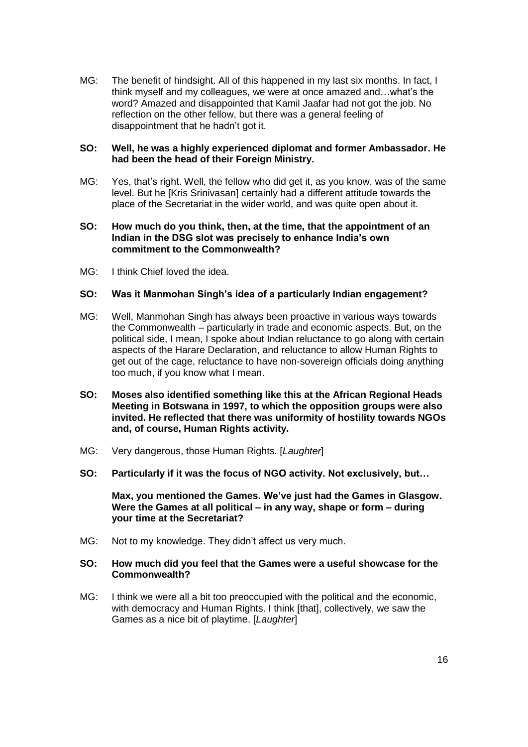MG: The benefit of hindsight. All of this happened in my last six months. In fact, I think myself and my colleagues, we were at once amazed and…what's the word? Amazed and disappointed that Kamil Jaafar had not got the job. No reflection on the other fellow, but there was a general feeling of disappointment that he hadn't got it.

#### **SO: Well, he was a highly experienced diplomat and former Ambassador. He had been the head of their Foreign Ministry.**

MG: Yes, that's right. Well, the fellow who did get it, as you know, was of the same level. But he [Kris Srinivasan] certainly had a different attitude towards the place of the Secretariat in the wider world, and was quite open about it.

#### **SO: How much do you think, then, at the time, that the appointment of an Indian in the DSG slot was precisely to enhance India's own commitment to the Commonwealth?**

MG: I think Chief loved the idea

# **SO: Was it Manmohan Singh's idea of a particularly Indian engagement?**

- MG: Well, Manmohan Singh has always been proactive in various ways towards the Commonwealth – particularly in trade and economic aspects. But, on the political side, I mean, I spoke about Indian reluctance to go along with certain aspects of the Harare Declaration, and reluctance to allow Human Rights to get out of the cage, reluctance to have non-sovereign officials doing anything too much, if you know what I mean.
- **SO: Moses also identified something like this at the African Regional Heads Meeting in Botswana in 1997, to which the opposition groups were also invited. He reflected that there was uniformity of hostility towards NGOs and, of course, Human Rights activity.**
- MG: Very dangerous, those Human Rights. [*Laughter*]
- **SO: Particularly if it was the focus of NGO activity. Not exclusively, but…**

**Max, you mentioned the Games. We've just had the Games in Glasgow. Were the Games at all political – in any way, shape or form – during your time at the Secretariat?**

MG: Not to my knowledge. They didn't affect us very much.

### **SO: How much did you feel that the Games were a useful showcase for the Commonwealth?**

MG: I think we were all a bit too preoccupied with the political and the economic, with democracy and Human Rights. I think [that], collectively, we saw the Games as a nice bit of playtime. [*Laughter*]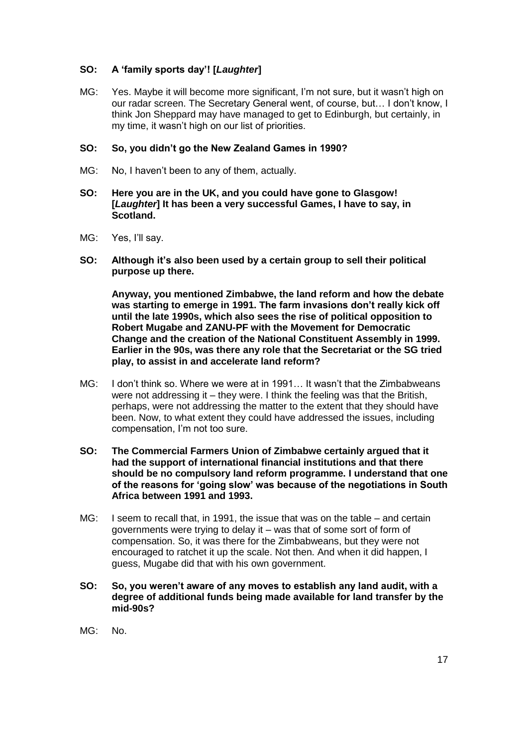# **SO: A 'family sports day'! [***Laughter***]**

MG: Yes. Maybe it will become more significant, I'm not sure, but it wasn't high on our radar screen. The Secretary General went, of course, but… I don't know, I think Jon Sheppard may have managed to get to Edinburgh, but certainly, in my time, it wasn't high on our list of priorities.

# **SO: So, you didn't go the New Zealand Games in 1990?**

- MG: No, I haven't been to any of them, actually.
- **SO: Here you are in the UK, and you could have gone to Glasgow! [***Laughter***] It has been a very successful Games, I have to say, in Scotland.**
- MG: Yes, I'll say.
- **SO: Although it's also been used by a certain group to sell their political purpose up there.**

**Anyway, you mentioned Zimbabwe, the land reform and how the debate was starting to emerge in 1991. The farm invasions don't really kick off until the late 1990s, which also sees the rise of political opposition to Robert Mugabe and ZANU-PF with the Movement for Democratic Change and the creation of the National Constituent Assembly in 1999. Earlier in the 90s, was there any role that the Secretariat or the SG tried play, to assist in and accelerate land reform?**

- MG: I don't think so. Where we were at in 1991… It wasn't that the Zimbabweans were not addressing it – they were. I think the feeling was that the British, perhaps, were not addressing the matter to the extent that they should have been. Now, to what extent they could have addressed the issues, including compensation, I'm not too sure.
- **SO: The Commercial Farmers Union of Zimbabwe certainly argued that it had the support of international financial institutions and that there should be no compulsory land reform programme. I understand that one of the reasons for 'going slow' was because of the negotiations in South Africa between 1991 and 1993.**
- MG: I seem to recall that, in 1991, the issue that was on the table and certain governments were trying to delay it – was that of some sort of form of compensation. So, it was there for the Zimbabweans, but they were not encouraged to ratchet it up the scale. Not then. And when it did happen, I guess, Mugabe did that with his own government.
- **SO: So, you weren't aware of any moves to establish any land audit, with a degree of additional funds being made available for land transfer by the mid-90s?**
- $MG:$  No.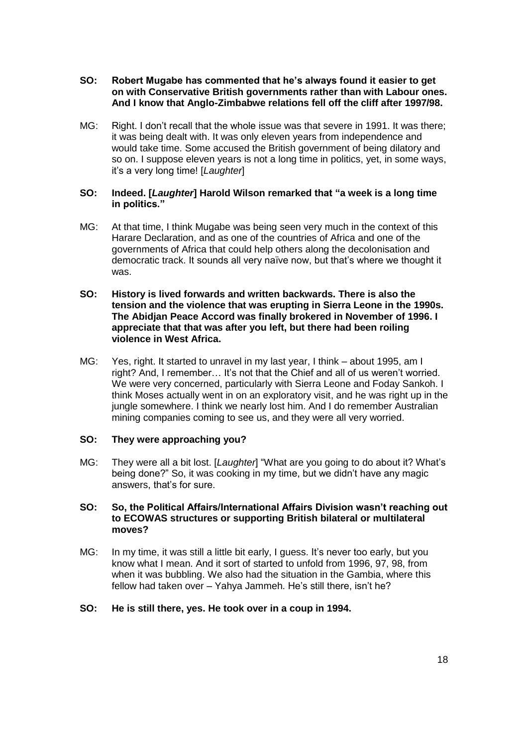### **SO: Robert Mugabe has commented that he's always found it easier to get on with Conservative British governments rather than with Labour ones. And I know that Anglo-Zimbabwe relations fell off the cliff after 1997/98.**

MG: Right. I don't recall that the whole issue was that severe in 1991. It was there; it was being dealt with. It was only eleven years from independence and would take time. Some accused the British government of being dilatory and so on. I suppose eleven years is not a long time in politics, yet, in some ways, it's a very long time! [*Laughter*]

### **SO: Indeed. [***Laughter***] Harold Wilson remarked that "a week is a long time in politics."**

- MG: At that time, I think Mugabe was being seen very much in the context of this Harare Declaration, and as one of the countries of Africa and one of the governments of Africa that could help others along the decolonisation and democratic track. It sounds all very naïve now, but that's where we thought it was.
- **SO: History is lived forwards and written backwards. There is also the tension and the violence that was erupting in Sierra Leone in the 1990s. The Abidjan Peace Accord was finally brokered in November of 1996. I appreciate that that was after you left, but there had been roiling violence in West Africa.**
- MG: Yes, right. It started to unravel in my last year, I think about 1995, am I right? And, I remember… It's not that the Chief and all of us weren't worried. We were very concerned, particularly with Sierra Leone and Foday Sankoh. I think Moses actually went in on an exploratory visit, and he was right up in the jungle somewhere. I think we nearly lost him. And I do remember Australian mining companies coming to see us, and they were all very worried.

# **SO: They were approaching you?**

- MG: They were all a bit lost. [*Laughter*] "What are you going to do about it? What's being done?" So, it was cooking in my time, but we didn't have any magic answers, that's for sure.
- **SO: So, the Political Affairs/International Affairs Division wasn't reaching out to ECOWAS structures or supporting British bilateral or multilateral moves?**
- MG: In my time, it was still a little bit early, I guess. It's never too early, but you know what I mean. And it sort of started to unfold from 1996, 97, 98, from when it was bubbling. We also had the situation in the Gambia, where this fellow had taken over – Yahya Jammeh. He's still there, isn't he?

#### **SO: He is still there, yes. He took over in a coup in 1994.**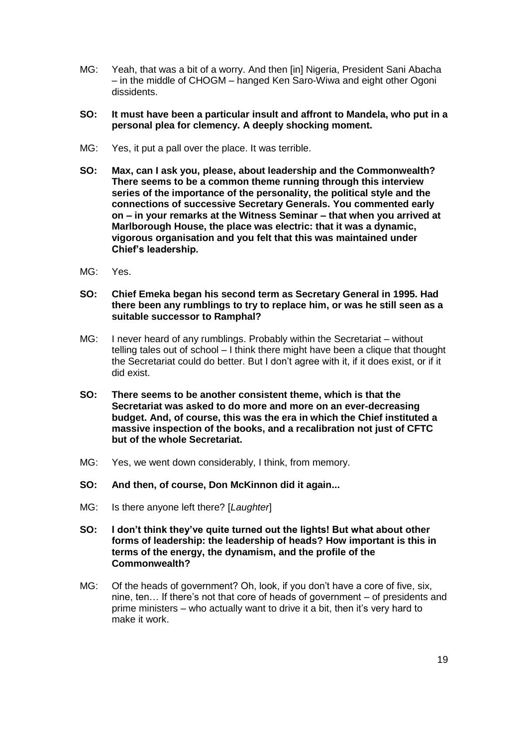- MG: Yeah, that was a bit of a worry. And then [in] Nigeria, President Sani Abacha – in the middle of CHOGM – hanged Ken Saro-Wiwa and eight other Ogoni dissidents.
- **SO: It must have been a particular insult and affront to Mandela, who put in a personal plea for clemency. A deeply shocking moment.**
- MG: Yes, it put a pall over the place. It was terrible.
- **SO: Max, can I ask you, please, about leadership and the Commonwealth? There seems to be a common theme running through this interview series of the importance of the personality, the political style and the connections of successive Secretary Generals. You commented early on – in your remarks at the Witness Seminar – that when you arrived at Marlborough House, the place was electric: that it was a dynamic, vigorous organisation and you felt that this was maintained under Chief's leadership.**
- MG: Yes.
- **SO: Chief Emeka began his second term as Secretary General in 1995. Had there been any rumblings to try to replace him, or was he still seen as a suitable successor to Ramphal?**
- MG: I never heard of any rumblings. Probably within the Secretariat without telling tales out of school – I think there might have been a clique that thought the Secretariat could do better. But I don't agree with it, if it does exist, or if it did exist.
- **SO: There seems to be another consistent theme, which is that the Secretariat was asked to do more and more on an ever-decreasing budget. And, of course, this was the era in which the Chief instituted a massive inspection of the books, and a recalibration not just of CFTC but of the whole Secretariat.**
- MG: Yes, we went down considerably, I think, from memory.
- **SO: And then, of course, Don McKinnon did it again...**
- MG: Is there anyone left there? [*Laughter*]
- **SO: I don't think they've quite turned out the lights! But what about other forms of leadership: the leadership of heads? How important is this in terms of the energy, the dynamism, and the profile of the Commonwealth?**
- MG: Of the heads of government? Oh, look, if you don't have a core of five, six, nine, ten… If there's not that core of heads of government – of presidents and prime ministers – who actually want to drive it a bit, then it's very hard to make it work.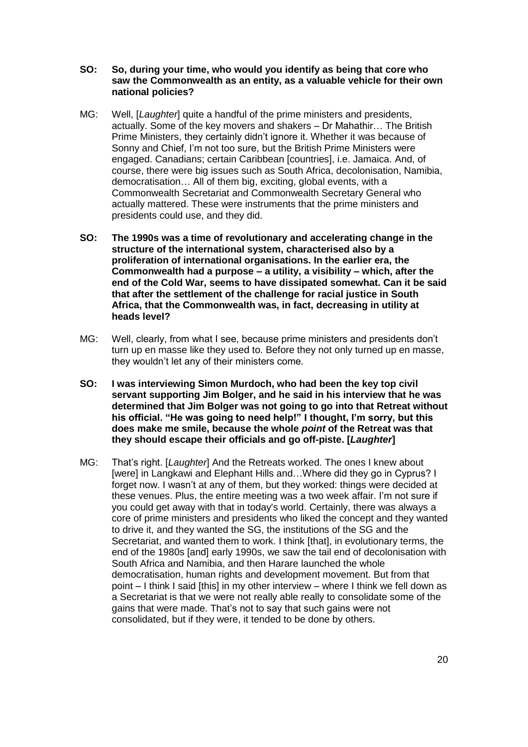- **SO: So, during your time, who would you identify as being that core who saw the Commonwealth as an entity, as a valuable vehicle for their own national policies?**
- MG: Well, [*Laughter*] quite a handful of the prime ministers and presidents, actually. Some of the key movers and shakers – Dr Mahathir… The British Prime Ministers, they certainly didn't ignore it. Whether it was because of Sonny and Chief, I'm not too sure, but the British Prime Ministers were engaged. Canadians; certain Caribbean [countries], i.e. Jamaica. And, of course, there were big issues such as South Africa, decolonisation, Namibia, democratisation… All of them big, exciting, global events, with a Commonwealth Secretariat and Commonwealth Secretary General who actually mattered. These were instruments that the prime ministers and presidents could use, and they did.
- **SO: The 1990s was a time of revolutionary and accelerating change in the structure of the international system, characterised also by a proliferation of international organisations. In the earlier era, the Commonwealth had a purpose – a utility, a visibility – which, after the end of the Cold War, seems to have dissipated somewhat. Can it be said that after the settlement of the challenge for racial justice in South Africa, that the Commonwealth was, in fact, decreasing in utility at heads level?**
- MG: Well, clearly, from what I see, because prime ministers and presidents don't turn up en masse like they used to. Before they not only turned up en masse, they wouldn't let any of their ministers come.
- **SO: I was interviewing Simon Murdoch, who had been the key top civil servant supporting Jim Bolger, and he said in his interview that he was determined that Jim Bolger was not going to go into that Retreat without his official. "He was going to need help!" I thought, I'm sorry, but this does make me smile, because the whole** *point* **of the Retreat was that they should escape their officials and go off-piste. [***Laughter***]**
- MG: That's right. [*Laughter*] And the Retreats worked. The ones I knew about [were] in Langkawi and Elephant Hills and…Where did they go in Cyprus? I forget now. I wasn't at any of them, but they worked: things were decided at these venues. Plus, the entire meeting was a two week affair. I'm not sure if you could get away with that in today's world. Certainly, there was always a core of prime ministers and presidents who liked the concept and they wanted to drive it, and they wanted the SG, the institutions of the SG and the Secretariat, and wanted them to work. I think [that], in evolutionary terms, the end of the 1980s [and] early 1990s, we saw the tail end of decolonisation with South Africa and Namibia, and then Harare launched the whole democratisation, human rights and development movement. But from that point – I think I said [this] in my other interview – where I think we fell down as a Secretariat is that we were not really able really to consolidate some of the gains that were made. That's not to say that such gains were not consolidated, but if they were, it tended to be done by others.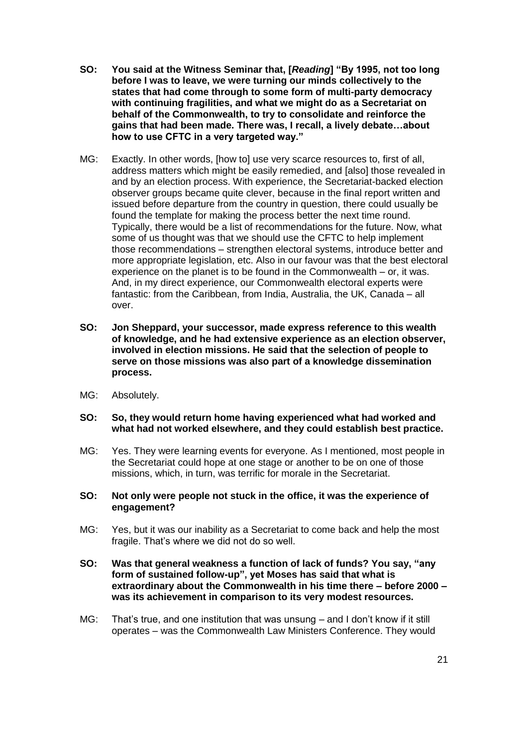- **SO: You said at the Witness Seminar that, [***Reading***] "By 1995, not too long before I was to leave, we were turning our minds collectively to the states that had come through to some form of multi-party democracy with continuing fragilities, and what we might do as a Secretariat on behalf of the Commonwealth, to try to consolidate and reinforce the gains that had been made. There was, I recall, a lively debate…about how to use CFTC in a very targeted way."**
- MG: Exactly. In other words, [how to] use very scarce resources to, first of all, address matters which might be easily remedied, and [also] those revealed in and by an election process. With experience, the Secretariat-backed election observer groups became quite clever, because in the final report written and issued before departure from the country in question, there could usually be found the template for making the process better the next time round. Typically, there would be a list of recommendations for the future. Now, what some of us thought was that we should use the CFTC to help implement those recommendations – strengthen electoral systems, introduce better and more appropriate legislation, etc. Also in our favour was that the best electoral experience on the planet is to be found in the Commonwealth – or, it was. And, in my direct experience, our Commonwealth electoral experts were fantastic: from the Caribbean, from India, Australia, the UK, Canada – all over.
- **SO: Jon Sheppard, your successor, made express reference to this wealth of knowledge, and he had extensive experience as an election observer, involved in election missions. He said that the selection of people to serve on those missions was also part of a knowledge dissemination process.**
- MG: Absolutely.
- **SO: So, they would return home having experienced what had worked and what had not worked elsewhere, and they could establish best practice.**
- MG: Yes. They were learning events for everyone. As I mentioned, most people in the Secretariat could hope at one stage or another to be on one of those missions, which, in turn, was terrific for morale in the Secretariat.
- **SO: Not only were people not stuck in the office, it was the experience of engagement?**
- MG: Yes, but it was our inability as a Secretariat to come back and help the most fragile. That's where we did not do so well.
- **SO: Was that general weakness a function of lack of funds? You say, "any form of sustained follow-up", yet Moses has said that what is extraordinary about the Commonwealth in his time there – before 2000 – was its achievement in comparison to its very modest resources.**
- MG: That's true, and one institution that was unsung and I don't know if it still operates – was the Commonwealth Law Ministers Conference. They would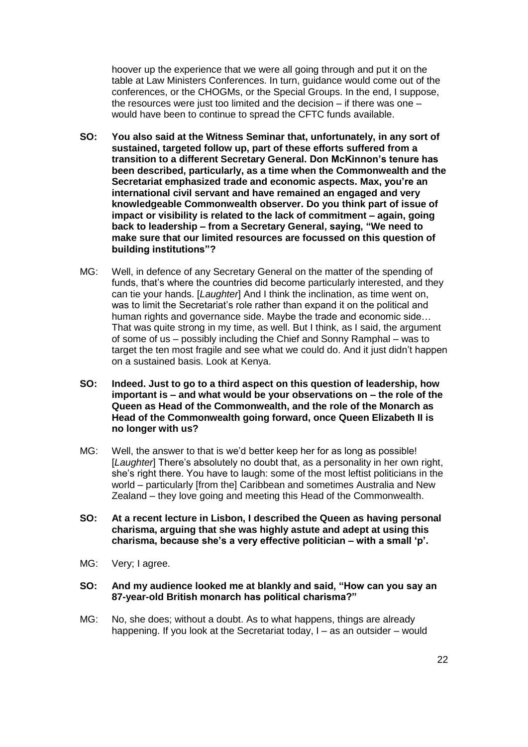hoover up the experience that we were all going through and put it on the table at Law Ministers Conferences. In turn, guidance would come out of the conferences, or the CHOGMs, or the Special Groups. In the end, I suppose, the resources were just too limited and the decision – if there was one – would have been to continue to spread the CFTC funds available.

- **SO: You also said at the Witness Seminar that, unfortunately, in any sort of sustained, targeted follow up, part of these efforts suffered from a transition to a different Secretary General. Don McKinnon's tenure has been described, particularly, as a time when the Commonwealth and the Secretariat emphasized trade and economic aspects. Max, you're an international civil servant and have remained an engaged and very knowledgeable Commonwealth observer. Do you think part of issue of impact or visibility is related to the lack of commitment – again, going back to leadership – from a Secretary General, saying, "We need to make sure that our limited resources are focussed on this question of building institutions"?**
- MG: Well, in defence of any Secretary General on the matter of the spending of funds, that's where the countries did become particularly interested, and they can tie your hands. [*Laughter*] And I think the inclination, as time went on, was to limit the Secretariat's role rather than expand it on the political and human rights and governance side. Maybe the trade and economic side… That was quite strong in my time, as well. But I think, as I said, the argument of some of us – possibly including the Chief and Sonny Ramphal – was to target the ten most fragile and see what we could do. And it just didn't happen on a sustained basis. Look at Kenya.
- **SO: Indeed. Just to go to a third aspect on this question of leadership, how important is – and what would be your observations on – the role of the Queen as Head of the Commonwealth, and the role of the Monarch as Head of the Commonwealth going forward, once Queen Elizabeth II is no longer with us?**
- MG: Well, the answer to that is we'd better keep her for as long as possible! [*Laughter*] There's absolutely no doubt that, as a personality in her own right, she's right there. You have to laugh: some of the most leftist politicians in the world – particularly [from the] Caribbean and sometimes Australia and New Zealand – they love going and meeting this Head of the Commonwealth.
- **SO: At a recent lecture in Lisbon, I described the Queen as having personal charisma, arguing that she was highly astute and adept at using this charisma, because she's a very effective politician – with a small 'p'.**
- MG: Very; I agree.
- **SO: And my audience looked me at blankly and said, "How can you say an 87-year-old British monarch has political charisma?"**
- MG: No, she does; without a doubt. As to what happens, things are already happening. If you look at the Secretariat today, I – as an outsider – would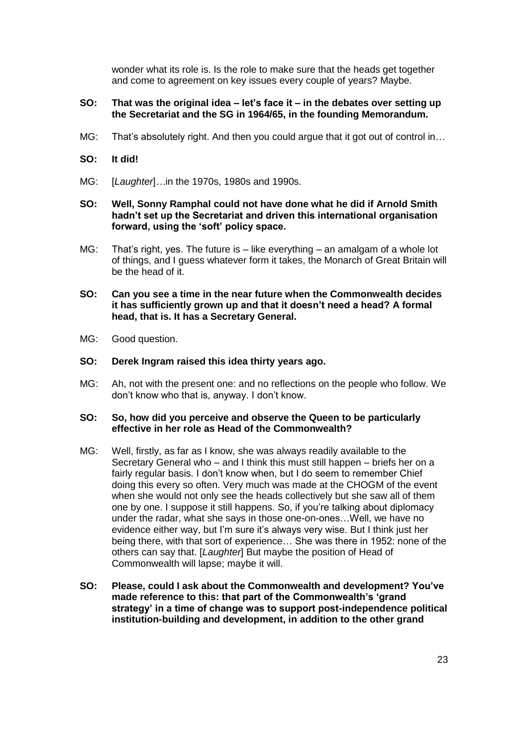wonder what its role is. Is the role to make sure that the heads get together and come to agreement on key issues every couple of years? Maybe.

### **SO: That was the original idea – let's face it – in the debates over setting up the Secretariat and the SG in 1964/65, in the founding Memorandum.**

MG: That's absolutely right. And then you could argue that it got out of control in…

# **SO: It did!**

- MG: [*Laughter*]*…*in the 1970s, 1980s and 1990s.
- **SO: Well, Sonny Ramphal could not have done what he did if Arnold Smith hadn't set up the Secretariat and driven this international organisation forward, using the 'soft' policy space.**
- MG: That's right, yes. The future is like everything an amalgam of a whole lot of things, and I guess whatever form it takes, the Monarch of Great Britain will be the head of it.
- **SO: Can you see a time in the near future when the Commonwealth decides it has sufficiently grown up and that it doesn't need a head? A formal head, that is. It has a Secretary General.**
- MG: Good question.

### **SO: Derek Ingram raised this idea thirty years ago.**

MG: Ah, not with the present one: and no reflections on the people who follow. We don't know who that is, anyway. I don't know.

#### **SO: So, how did you perceive and observe the Queen to be particularly effective in her role as Head of the Commonwealth?**

- MG: Well, firstly, as far as I know, she was always readily available to the Secretary General who – and I think this must still happen – briefs her on a fairly regular basis. I don't know when, but I do seem to remember Chief doing this every so often. Very much was made at the CHOGM of the event when she would not only see the heads collectively but she saw all of them one by one. I suppose it still happens. So, if you're talking about diplomacy under the radar, what she says in those one-on-ones…Well, we have no evidence either way, but I'm sure it's always very wise. But I think just her being there, with that sort of experience… She was there in 1952: none of the others can say that. [*Laughter*] But maybe the position of Head of Commonwealth will lapse; maybe it will.
- **SO: Please, could I ask about the Commonwealth and development? You've made reference to this: that part of the Commonwealth's 'grand strategy' in a time of change was to support post-independence political institution-building and development, in addition to the other grand**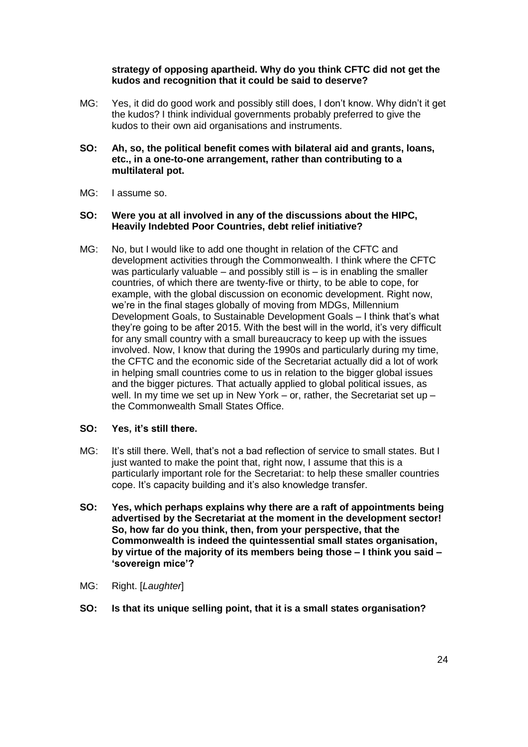## **strategy of opposing apartheid. Why do you think CFTC did not get the kudos and recognition that it could be said to deserve?**

- MG: Yes, it did do good work and possibly still does, I don't know. Why didn't it get the kudos? I think individual governments probably preferred to give the kudos to their own aid organisations and instruments.
- **SO: Ah, so, the political benefit comes with bilateral aid and grants, loans, etc., in a one-to-one arrangement, rather than contributing to a multilateral pot.**
- MG: I assume so.

#### **SO: Were you at all involved in any of the discussions about the HIPC, Heavily Indebted Poor Countries, debt relief initiative?**

MG: No, but I would like to add one thought in relation of the CFTC and development activities through the Commonwealth. I think where the CFTC was particularly valuable – and possibly still is – is in enabling the smaller countries, of which there are twenty-five or thirty, to be able to cope, for example, with the global discussion on economic development. Right now, we're in the final stages globally of moving from MDGs, Millennium Development Goals, to Sustainable Development Goals – I think that's what they're going to be after 2015. With the best will in the world, it's very difficult for any small country with a small bureaucracy to keep up with the issues involved. Now, I know that during the 1990s and particularly during my time, the CFTC and the economic side of the Secretariat actually did a lot of work in helping small countries come to us in relation to the bigger global issues and the bigger pictures. That actually applied to global political issues, as well. In my time we set up in New York – or, rather, the Secretariat set up – the Commonwealth Small States Office.

#### **SO: Yes, it's still there.**

- MG: It's still there. Well, that's not a bad reflection of service to small states. But I just wanted to make the point that, right now, I assume that this is a particularly important role for the Secretariat: to help these smaller countries cope. It's capacity building and it's also knowledge transfer.
- **SO: Yes, which perhaps explains why there are a raft of appointments being advertised by the Secretariat at the moment in the development sector! So, how far do you think, then, from your perspective, that the Commonwealth is indeed the quintessential small states organisation, by virtue of the majority of its members being those – I think you said – 'sovereign mice'?**
- MG: Right. [*Laughter*]
- **SO: Is that its unique selling point, that it is a small states organisation?**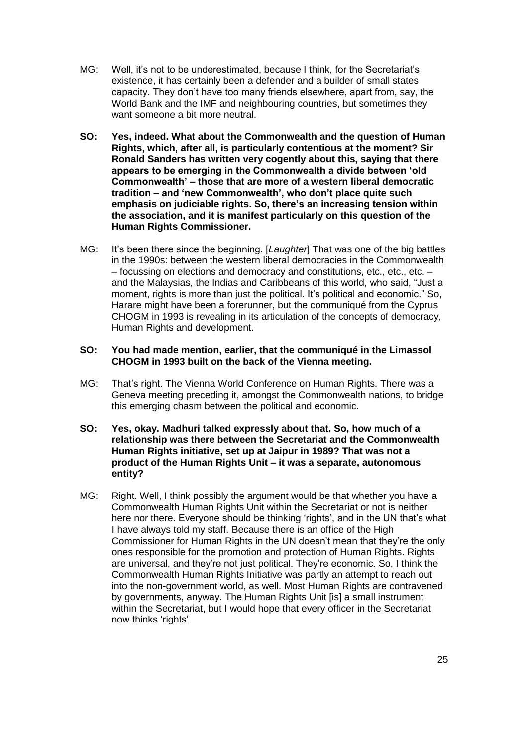- MG: Well, it's not to be underestimated, because I think, for the Secretariat's existence, it has certainly been a defender and a builder of small states capacity. They don't have too many friends elsewhere, apart from, say, the World Bank and the IMF and neighbouring countries, but sometimes they want someone a bit more neutral.
- **SO: Yes, indeed. What about the Commonwealth and the question of Human Rights, which, after all, is particularly contentious at the moment? Sir Ronald Sanders has written very cogently about this, saying that there appears to be emerging in the Commonwealth a divide between 'old Commonwealth' – those that are more of a western liberal democratic tradition – and 'new Commonwealth', who don't place quite such emphasis on judiciable rights. So, there's an increasing tension within the association, and it is manifest particularly on this question of the Human Rights Commissioner.**
- MG: It's been there since the beginning. [*Laughter*] That was one of the big battles in the 1990s: between the western liberal democracies in the Commonwealth – focussing on elections and democracy and constitutions, etc., etc., etc. – and the Malaysias, the Indias and Caribbeans of this world, who said, "Just a moment, rights is more than just the political. It's political and economic." So, Harare might have been a forerunner, but the communiqué from the Cyprus CHOGM in 1993 is revealing in its articulation of the concepts of democracy, Human Rights and development.

#### **SO: You had made mention, earlier, that the communiqué in the Limassol CHOGM in 1993 built on the back of the Vienna meeting.**

- MG: That's right. The Vienna World Conference on Human Rights. There was a Geneva meeting preceding it, amongst the Commonwealth nations, to bridge this emerging chasm between the political and economic.
- **SO: Yes, okay. Madhuri talked expressly about that. So, how much of a relationship was there between the Secretariat and the Commonwealth Human Rights initiative, set up at Jaipur in 1989? That was not a product of the Human Rights Unit – it was a separate, autonomous entity?**
- MG: Right. Well, I think possibly the argument would be that whether you have a Commonwealth Human Rights Unit within the Secretariat or not is neither here nor there. Everyone should be thinking 'rights', and in the UN that's what I have always told my staff. Because there is an office of the High Commissioner for Human Rights in the UN doesn't mean that they're the only ones responsible for the promotion and protection of Human Rights. Rights are universal, and they're not just political. They're economic. So, I think the Commonwealth Human Rights Initiative was partly an attempt to reach out into the non-government world, as well. Most Human Rights are contravened by governments, anyway. The Human Rights Unit [is] a small instrument within the Secretariat, but I would hope that every officer in the Secretariat now thinks 'rights'.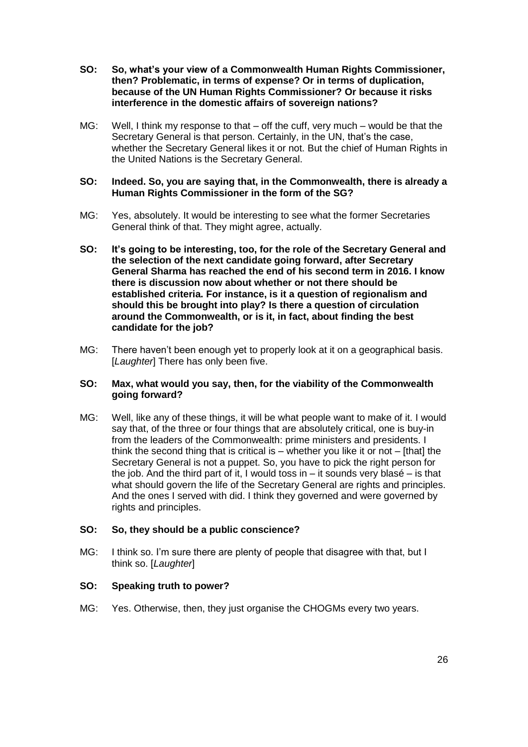- **SO: So, what's your view of a Commonwealth Human Rights Commissioner, then? Problematic, in terms of expense? Or in terms of duplication, because of the UN Human Rights Commissioner? Or because it risks interference in the domestic affairs of sovereign nations?**
- MG: Well, I think my response to that off the cuff, very much would be that the Secretary General is that person. Certainly, in the UN, that's the case, whether the Secretary General likes it or not. But the chief of Human Rights in the United Nations is the Secretary General.

### **SO: Indeed. So, you are saying that, in the Commonwealth, there is already a Human Rights Commissioner in the form of the SG?**

- MG: Yes, absolutely. It would be interesting to see what the former Secretaries General think of that. They might agree, actually.
- **SO: It's going to be interesting, too, for the role of the Secretary General and the selection of the next candidate going forward, after Secretary General Sharma has reached the end of his second term in 2016. I know there is discussion now about whether or not there should be established criteria. For instance, is it a question of regionalism and should this be brought into play? Is there a question of circulation around the Commonwealth, or is it, in fact, about finding the best candidate for the job?**
- MG: There haven't been enough yet to properly look at it on a geographical basis. [*Laughter*] There has only been five.

### **SO: Max, what would you say, then, for the viability of the Commonwealth going forward?**

MG: Well, like any of these things, it will be what people want to make of it. I would say that, of the three or four things that are absolutely critical, one is buy-in from the leaders of the Commonwealth: prime ministers and presidents. I think the second thing that is critical is – whether you like it or not – [that] the Secretary General is not a puppet. So, you have to pick the right person for the job. And the third part of it, I would toss in  $-$  it sounds very blasé  $-$  is that what should govern the life of the Secretary General are rights and principles. And the ones I served with did. I think they governed and were governed by rights and principles.

# **SO: So, they should be a public conscience?**

MG: I think so. I'm sure there are plenty of people that disagree with that, but I think so. [*Laughter*]

# **SO: Speaking truth to power?**

MG: Yes. Otherwise, then, they just organise the CHOGMs every two years.